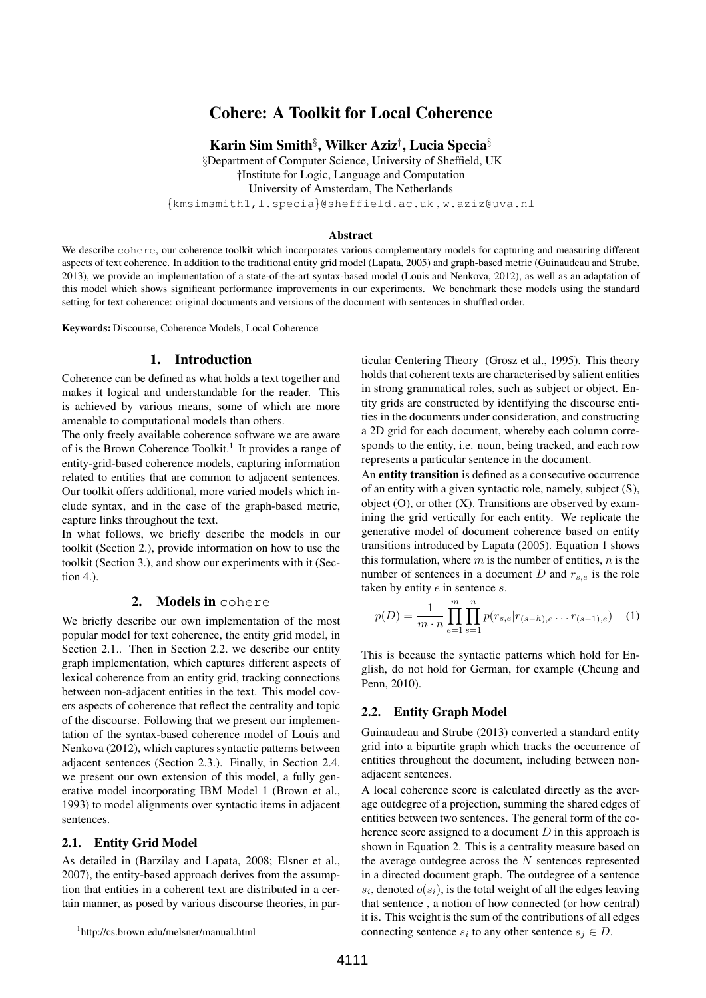# Cohere: A Toolkit for Local Coherence

Karin Sim Smith $\S$ , Wilker Aziz $^\dagger$ , Lucia Specia $\S$ 

§Department of Computer Science, University of Sheffield, UK †Institute for Logic, Language and Computation

University of Amsterdam, The Netherlands

{kmsimsmith1,l.specia}@sheffield.ac.uk , w.aziz@uva.nl

#### Abstract

We describe cohere, our coherence toolkit which incorporates various complementary models for capturing and measuring different aspects of text coherence. In addition to the traditional entity grid model (Lapata, 2005) and graph-based metric (Guinaudeau and Strube, 2013), we provide an implementation of a state-of-the-art syntax-based model (Louis and Nenkova, 2012), as well as an adaptation of this model which shows significant performance improvements in our experiments. We benchmark these models using the standard setting for text coherence: original documents and versions of the document with sentences in shuffled order.

Keywords: Discourse, Coherence Models, Local Coherence

# 1. Introduction

Coherence can be defined as what holds a text together and makes it logical and understandable for the reader. This is achieved by various means, some of which are more amenable to computational models than others.

The only freely available coherence software we are aware of is the Brown Coherence Toolkit.<sup>1</sup> It provides a range of entity-grid-based coherence models, capturing information related to entities that are common to adjacent sentences. Our toolkit offers additional, more varied models which include syntax, and in the case of the graph-based metric, capture links throughout the text.

In what follows, we briefly describe the models in our toolkit (Section 2.), provide information on how to use the toolkit (Section 3.), and show our experiments with it (Section 4.).

# 2. Models in cohere

We briefly describe our own implementation of the most popular model for text coherence, the entity grid model, in Section 2.1.. Then in Section 2.2. we describe our entity graph implementation, which captures different aspects of lexical coherence from an entity grid, tracking connections between non-adjacent entities in the text. This model covers aspects of coherence that reflect the centrality and topic of the discourse. Following that we present our implementation of the syntax-based coherence model of Louis and Nenkova (2012), which captures syntactic patterns between adjacent sentences (Section 2.3.). Finally, in Section 2.4. we present our own extension of this model, a fully generative model incorporating IBM Model 1 (Brown et al., 1993) to model alignments over syntactic items in adjacent sentences.

## 2.1. Entity Grid Model

As detailed in (Barzilay and Lapata, 2008; Elsner et al., 2007), the entity-based approach derives from the assumption that entities in a coherent text are distributed in a certain manner, as posed by various discourse theories, in par-

1 http://cs.brown.edu/melsner/manual.html

ticular Centering Theory (Grosz et al., 1995). This theory holds that coherent texts are characterised by salient entities in strong grammatical roles, such as subject or object. Entity grids are constructed by identifying the discourse entities in the documents under consideration, and constructing a 2D grid for each document, whereby each column corresponds to the entity, i.e. noun, being tracked, and each row represents a particular sentence in the document.

An entity transition is defined as a consecutive occurrence of an entity with a given syntactic role, namely, subject (S), object  $(O)$ , or other  $(X)$ . Transitions are observed by examining the grid vertically for each entity. We replicate the generative model of document coherence based on entity transitions introduced by Lapata (2005). Equation 1 shows this formulation, where  $m$  is the number of entities,  $n$  is the number of sentences in a document D and  $r_{s,e}$  is the role taken by entity  $e$  in sentence  $s$ .

$$
p(D) = \frac{1}{m \cdot n} \prod_{e=1}^{m} \prod_{s=1}^{n} p(r_{s,e} | r_{(s-h),e} \dots r_{(s-1),e}) \quad (1)
$$

This is because the syntactic patterns which hold for English, do not hold for German, for example (Cheung and Penn, 2010).

## 2.2. Entity Graph Model

Guinaudeau and Strube (2013) converted a standard entity grid into a bipartite graph which tracks the occurrence of entities throughout the document, including between nonadjacent sentences.

A local coherence score is calculated directly as the average outdegree of a projection, summing the shared edges of entities between two sentences. The general form of the coherence score assigned to a document  $D$  in this approach is shown in Equation 2. This is a centrality measure based on the average outdegree across the  $N$  sentences represented in a directed document graph. The outdegree of a sentence  $s_i$ , denoted  $o(s_i)$ , is the total weight of all the edges leaving that sentence , a notion of how connected (or how central) it is. This weight is the sum of the contributions of all edges connecting sentence  $s_i$  to any other sentence  $s_j \in D$ .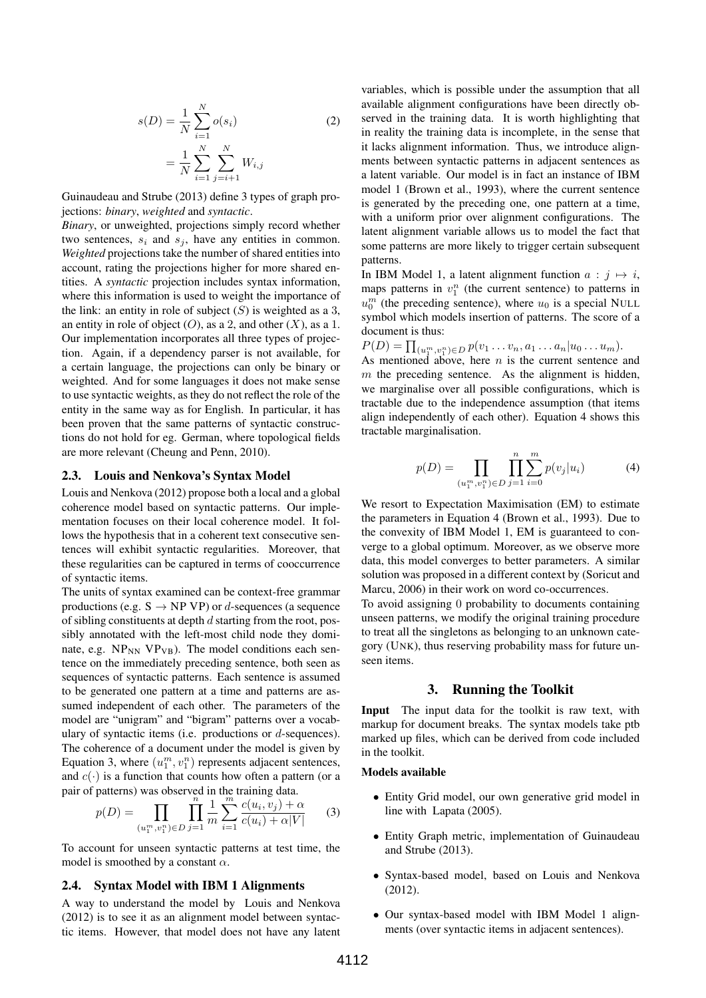$$
s(D) = \frac{1}{N} \sum_{i=1}^{N} o(s_i)
$$
  
= 
$$
\frac{1}{N} \sum_{i=1}^{N} \sum_{j=i+1}^{N} W_{i,j}
$$
 (2)

Guinaudeau and Strube (2013) define 3 types of graph projections: *binary*, *weighted* and *syntactic*.

*Binary*, or unweighted, projections simply record whether two sentences,  $s_i$  and  $s_j$ , have any entities in common. *Weighted* projections take the number of shared entities into account, rating the projections higher for more shared entities. A *syntactic* projection includes syntax information, where this information is used to weight the importance of the link: an entity in role of subject  $(S)$  is weighted as a 3, an entity in role of object  $(O)$ , as a 2, and other  $(X)$ , as a 1. Our implementation incorporates all three types of projection. Again, if a dependency parser is not available, for a certain language, the projections can only be binary or weighted. And for some languages it does not make sense to use syntactic weights, as they do not reflect the role of the entity in the same way as for English. In particular, it has been proven that the same patterns of syntactic constructions do not hold for eg. German, where topological fields are more relevant (Cheung and Penn, 2010).

## 2.3. Louis and Nenkova's Syntax Model

Louis and Nenkova (2012) propose both a local and a global coherence model based on syntactic patterns. Our implementation focuses on their local coherence model. It follows the hypothesis that in a coherent text consecutive sentences will exhibit syntactic regularities. Moreover, that these regularities can be captured in terms of cooccurrence of syntactic items.

The units of syntax examined can be context-free grammar productions (e.g.  $S \rightarrow NP VP$ ) or *d*-sequences (a sequence of sibling constituents at depth  $d$  starting from the root, possibly annotated with the left-most child node they dominate, e.g.  $NP_{NN} VP_{VB}$ ). The model conditions each sentence on the immediately preceding sentence, both seen as sequences of syntactic patterns. Each sentence is assumed to be generated one pattern at a time and patterns are assumed independent of each other. The parameters of the model are "unigram" and "bigram" patterns over a vocabulary of syntactic items (i.e. productions or d-sequences). The coherence of a document under the model is given by Equation 3, where  $(u_1^m, v_1^n)$  represents adjacent sentences, and  $c(\cdot)$  is a function that counts how often a pattern (or a pair of patterns) was observed in the training data.

$$
p(D) = \prod_{(u_1^m, v_1^n) \in D} \prod_{j=1}^n \frac{1}{m} \sum_{i=1}^m \frac{c(u_i, v_j) + \alpha}{c(u_i) + \alpha |V|}
$$
(3)

To account for unseen syntactic patterns at test time, the model is smoothed by a constant  $\alpha$ .

#### 2.4. Syntax Model with IBM 1 Alignments

A way to understand the model by Louis and Nenkova (2012) is to see it as an alignment model between syntactic items. However, that model does not have any latent variables, which is possible under the assumption that all available alignment configurations have been directly observed in the training data. It is worth highlighting that in reality the training data is incomplete, in the sense that it lacks alignment information. Thus, we introduce alignments between syntactic patterns in adjacent sentences as a latent variable. Our model is in fact an instance of IBM model 1 (Brown et al., 1993), where the current sentence is generated by the preceding one, one pattern at a time, with a uniform prior over alignment configurations. The latent alignment variable allows us to model the fact that some patterns are more likely to trigger certain subsequent patterns.

In IBM Model 1, a latent alignment function  $a : j \mapsto i$ , maps patterns in  $v_1^n$  (the current sentence) to patterns in  $u_0^m$  (the preceding sentence), where  $u_0$  is a special NULL symbol which models insertion of patterns. The score of a document is thus:

$$
P(D) = \prod_{(u_1^m, v_1^n) \in D} p(v_1 \dots v_n, a_1 \dots a_n | u_0 \dots u_m).
$$

As mentioned above, here  $n$  is the current sentence and  $m$  the preceding sentence. As the alignment is hidden, we marginalise over all possible configurations, which is tractable due to the independence assumption (that items align independently of each other). Equation 4 shows this tractable marginalisation.

$$
p(D) = \prod_{(u_1^m, v_1^n) \in D} \prod_{j=1}^n \sum_{i=0}^m p(v_j | u_i)
$$
 (4)

We resort to Expectation Maximisation (EM) to estimate the parameters in Equation 4 (Brown et al., 1993). Due to the convexity of IBM Model 1, EM is guaranteed to converge to a global optimum. Moreover, as we observe more data, this model converges to better parameters. A similar solution was proposed in a different context by (Soricut and Marcu, 2006) in their work on word co-occurrences.

To avoid assigning 0 probability to documents containing unseen patterns, we modify the original training procedure to treat all the singletons as belonging to an unknown category (UNK), thus reserving probability mass for future unseen items.

#### 3. Running the Toolkit

Input The input data for the toolkit is raw text, with markup for document breaks. The syntax models take ptb marked up files, which can be derived from code included in the toolkit.

#### Models available

- Entity Grid model, our own generative grid model in line with Lapata (2005).
- Entity Graph metric, implementation of Guinaudeau and Strube (2013).
- Syntax-based model, based on Louis and Nenkova (2012).
- Our syntax-based model with IBM Model 1 alignments (over syntactic items in adjacent sentences).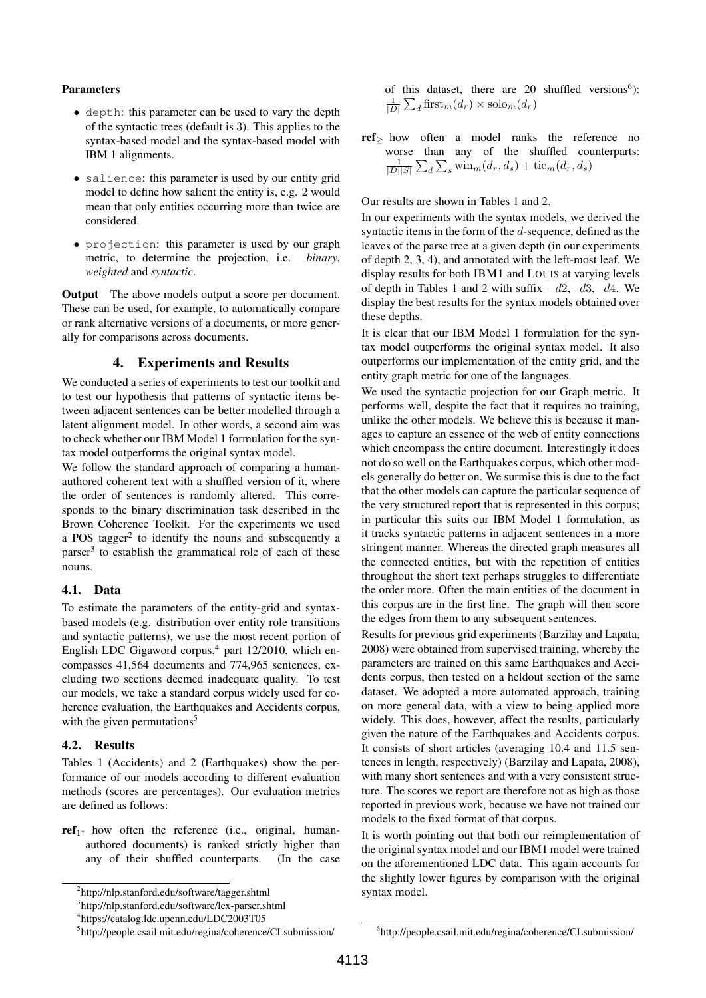#### Parameters

- depth: this parameter can be used to vary the depth of the syntactic trees (default is 3). This applies to the syntax-based model and the syntax-based model with IBM 1 alignments.
- salience: this parameter is used by our entity grid model to define how salient the entity is, e.g. 2 would mean that only entities occurring more than twice are considered.
- projection: this parameter is used by our graph metric, to determine the projection, i.e. *binary*, *weighted* and *syntactic*.

Output The above models output a score per document. These can be used, for example, to automatically compare or rank alternative versions of a documents, or more generally for comparisons across documents.

## 4. Experiments and Results

We conducted a series of experiments to test our toolkit and to test our hypothesis that patterns of syntactic items between adjacent sentences can be better modelled through a latent alignment model. In other words, a second aim was to check whether our IBM Model 1 formulation for the syntax model outperforms the original syntax model.

We follow the standard approach of comparing a humanauthored coherent text with a shuffled version of it, where the order of sentences is randomly altered. This corresponds to the binary discrimination task described in the Brown Coherence Toolkit. For the experiments we used a POS tagger<sup>2</sup> to identify the nouns and subsequently a parser<sup>3</sup> to establish the grammatical role of each of these nouns.

## 4.1. Data

To estimate the parameters of the entity-grid and syntaxbased models (e.g. distribution over entity role transitions and syntactic patterns), we use the most recent portion of English LDC Gigaword corpus,<sup>4</sup> part 12/2010, which encompasses 41,564 documents and 774,965 sentences, excluding two sections deemed inadequate quality. To test our models, we take a standard corpus widely used for coherence evaluation, the Earthquakes and Accidents corpus, with the given permutations<sup>5</sup>

## 4.2. Results

Tables 1 (Accidents) and 2 (Earthquakes) show the performance of our models according to different evaluation methods (scores are percentages). Our evaluation metrics are defined as follows:

 $ref_{1*}$  how often the reference (i.e., original, humanauthored documents) is ranked strictly higher than any of their shuffled counterparts. (In the case

of this dataset, there are 20 shuffled versions<sup>6</sup>):  $\frac{1}{|D|}\sum_d \operatorname{first}_m(d_r) \times \operatorname{solo}_m(d_r)$ 

ref<sup>≥</sup> how often a model ranks the reference no worse than any of the shuffled counterparts:  $\frac{1}{|D||S|}\sum_{d}\sum_{s}\text{win}_{m}(d_{r}, d_{s}) + \text{tie}_{m}(d_{r}, d_{s})$ 

Our results are shown in Tables 1 and 2.

In our experiments with the syntax models, we derived the syntactic items in the form of the d-sequence, defined as the leaves of the parse tree at a given depth (in our experiments of depth 2, 3, 4), and annotated with the left-most leaf. We display results for both IBM1 and LOUIS at varying levels of depth in Tables 1 and 2 with suffix  $-d2, -d3, -d4$ . We display the best results for the syntax models obtained over these depths.

It is clear that our IBM Model 1 formulation for the syntax model outperforms the original syntax model. It also outperforms our implementation of the entity grid, and the entity graph metric for one of the languages.

We used the syntactic projection for our Graph metric. It performs well, despite the fact that it requires no training, unlike the other models. We believe this is because it manages to capture an essence of the web of entity connections which encompass the entire document. Interestingly it does not do so well on the Earthquakes corpus, which other models generally do better on. We surmise this is due to the fact that the other models can capture the particular sequence of the very structured report that is represented in this corpus; in particular this suits our IBM Model 1 formulation, as it tracks syntactic patterns in adjacent sentences in a more stringent manner. Whereas the directed graph measures all the connected entities, but with the repetition of entities throughout the short text perhaps struggles to differentiate the order more. Often the main entities of the document in this corpus are in the first line. The graph will then score the edges from them to any subsequent sentences.

Results for previous grid experiments (Barzilay and Lapata, 2008) were obtained from supervised training, whereby the parameters are trained on this same Earthquakes and Accidents corpus, then tested on a heldout section of the same dataset. We adopted a more automated approach, training on more general data, with a view to being applied more widely. This does, however, affect the results, particularly given the nature of the Earthquakes and Accidents corpus. It consists of short articles (averaging 10.4 and 11.5 sentences in length, respectively) (Barzilay and Lapata, 2008), with many short sentences and with a very consistent structure. The scores we report are therefore not as high as those reported in previous work, because we have not trained our models to the fixed format of that corpus.

It is worth pointing out that both our reimplementation of the original syntax model and our IBM1 model were trained on the aforementioned LDC data. This again accounts for the slightly lower figures by comparison with the original syntax model.

<sup>2</sup> http://nlp.stanford.edu/software/tagger.shtml

<sup>3</sup> http://nlp.stanford.edu/software/lex-parser.shtml

<sup>4</sup> https://catalog.ldc.upenn.edu/LDC2003T05

<sup>5</sup> http://people.csail.mit.edu/regina/coherence/CLsubmission/

<sup>6</sup> http://people.csail.mit.edu/regina/coherence/CLsubmission/